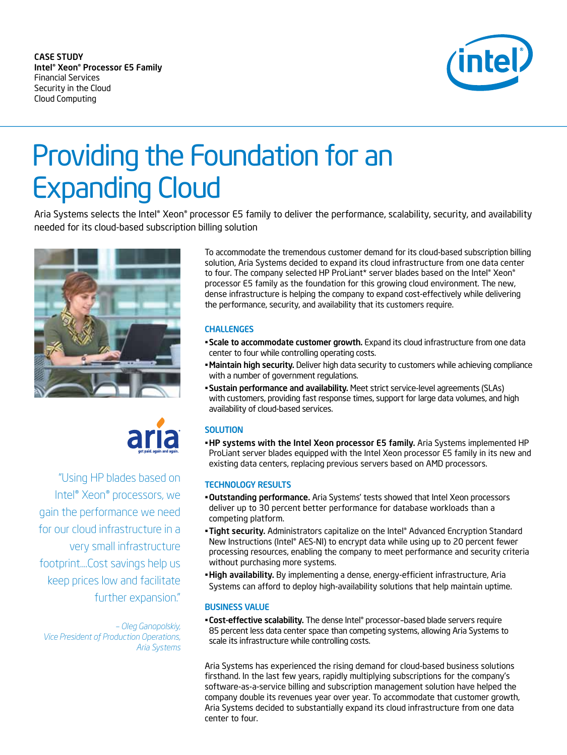CASE STUDY Intel® Xeon® Processor E5 Family Financial Services Security in the Cloud Cloud Computing



# Providing the Foundation for an Expanding Cloud<br>Aria Systems selects the Intel® Xeon® processor E5 family to deliver the performance, scalability, security, and availability

needed for its cloud-based subscription billing solution





"Using HP blades based on Intel® Xeon® processors, we gain the performance we need for our cloud infrastructure in a very small infrastructure footprint....Cost savings help us keep prices low and facilitate further expansion."

*– Oleg Ganopolskiy, Vice President of Production Operations, Aria Systems*

To accommodate the tremendous customer demand for its cloud-based subscription billing solution, Aria Systems decided to expand its cloud infrastructure from one data center to four. The company selected HP ProLiant\* server blades based on the Intel® Xeon® processor E5 family as the foundation for this growing cloud environment. The new, dense infrastructure is helping the company to expand cost-effectively while delivering the performance, security, and availability that its customers require.

### **CHALLENGES**

- Scale to accommodate customer growth. Expand its cloud infrastructure from one data center to four while controlling operating costs.
- Maintain high security. Deliver high data security to customers while achieving compliance with a number of government regulations.
- Sustain performance and availability. Meet strict service-level agreements (SLAs) with customers, providing fast response times, support for large data volumes, and high availability of cloud-based services.

# **SOLUTION**

**-HP systems with the Intel Xeon processor E5 family.** Aria Systems implemented HP ProLiant server blades equipped with the Intel Xeon processor E5 family in its new and existing data centers, replacing previous servers based on AMD processors.

#### **TECHNOLOGY RESULTS**

- . Outstanding performance. Aria Systems' tests showed that Intel Xeon processors deliver up to 30 percent better performance for database workloads than a competing platform.
- Tight security. Administrators capitalize on the Intel® Advanced Encryption Standard New Instructions (Intel® AES-NI) to encrypt data while using up to 20 percent fewer processing resources, enabling the company to meet performance and security criteria without purchasing more systems.
- . High availability. By implementing a dense, energy-efficient infrastructure, Aria Systems can afford to deploy high-availability solutions that help maintain uptime.

#### **BUSINESS VALUE**

. Cost-effective scalability. The dense Intel® processor-based blade servers require 85 percent less data center space than competing systems, allowing Aria Systems to scale its infrastructure while controlling costs.

Aria Systems has experienced the rising demand for cloud-based business solutions firsthand. In the last few years, rapidly multiplying subscriptions for the company's software-as-a-service billing and subscription management solution have helped the company double its revenues year over year. To accommodate that customer growth, Aria Systems decided to substantially expand its cloud infrastructure from one data center to four.